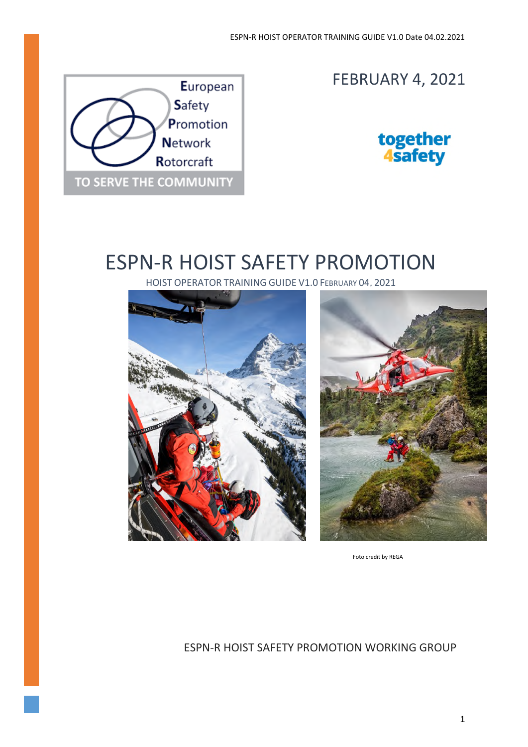

# FEBRUARY 4, 2021



# ESPN-R HOIST SAFETY PROMOTION

HOIST OPERATOR TRAINING GUIDE V1.0 FEBRUARY 04, 2021





Foto credit by REGA

### ESPN-R HOIST SAFETY PROMOTION WORKING GROUP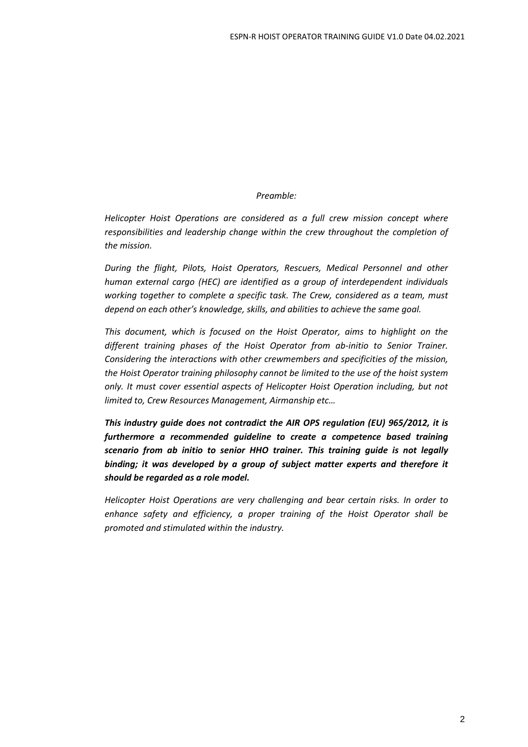### *Preamble:*

*Helicopter Hoist Operations are considered as a full crew mission concept where responsibilities and leadership change within the crew throughout the completion of the mission.* 

*During the flight, Pilots, Hoist Operators, Rescuers, Medical Personnel and other human external cargo (HEC) are identified as a group of interdependent individuals working together to complete a specific task. The Crew, considered as a team, must depend on each other's knowledge, skills, and abilities to achieve the same goal.* 

*This document, which is focused on the Hoist Operator, aims to highlight on the different training phases of the Hoist Operator from ab-initio to Senior Trainer. Considering the interactions with other crewmembers and specificities of the mission, the Hoist Operator training philosophy cannot be limited to the use of the hoist system only. It must cover essential aspects of Helicopter Hoist Operation including, but not limited to, Crew Resources Management, Airmanship etc…* 

*This industry guide does not contradict the AIR OPS regulation (EU) 965/2012, it is furthermore a recommended guideline to create a competence based training scenario from ab initio to senior HHO trainer. This training guide is not legally binding; it was developed by a group of subject matter experts and therefore it should be regarded as a role model.* 

*Helicopter Hoist Operations are very challenging and bear certain risks. In order to enhance safety and efficiency, a proper training of the Hoist Operator shall be promoted and stimulated within the industry.*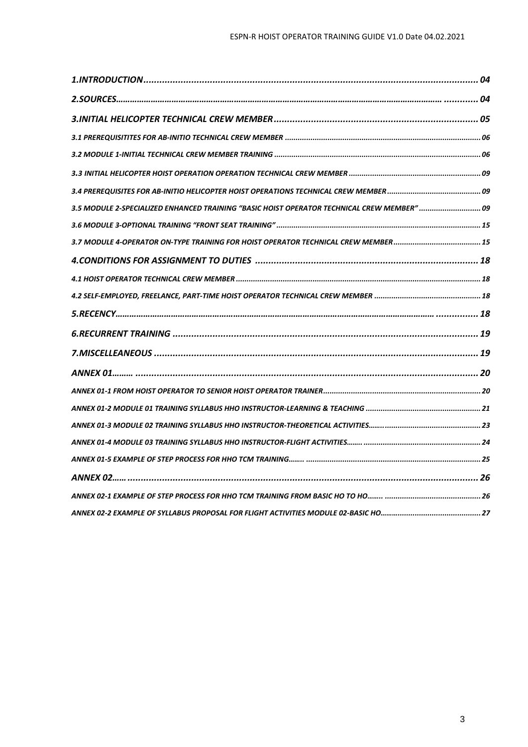| 3.5 MODULE 2-SPECIALIZED ENHANCED TRAINING "BASIC HOIST OPERATOR TECHNICAL CREW MEMBER"  09 |  |
|---------------------------------------------------------------------------------------------|--|
|                                                                                             |  |
|                                                                                             |  |
|                                                                                             |  |
|                                                                                             |  |
|                                                                                             |  |
|                                                                                             |  |
|                                                                                             |  |
|                                                                                             |  |
|                                                                                             |  |
|                                                                                             |  |
|                                                                                             |  |
|                                                                                             |  |
|                                                                                             |  |
|                                                                                             |  |
|                                                                                             |  |
|                                                                                             |  |
|                                                                                             |  |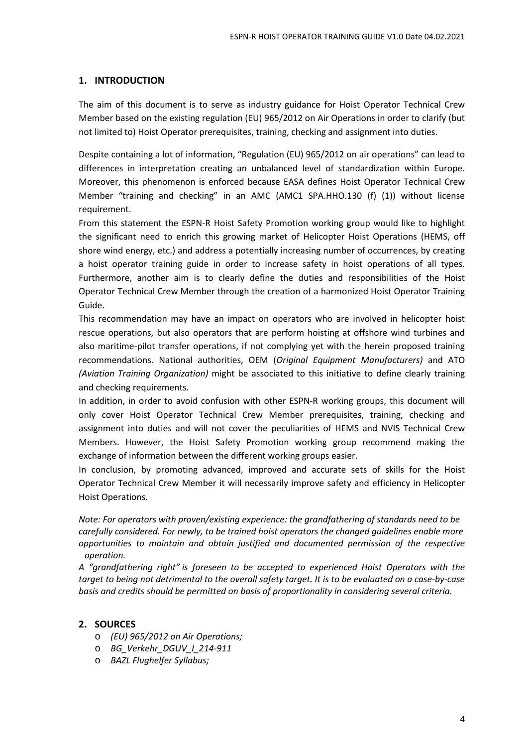### **1. INTRODUCTION**

The aim of this document is to serve as industry guidance for Hoist Operator Technical Crew Member based on the existing regulation (EU) 965/2012 on Air Operations in order to clarify (but not limited to) Hoist Operator prerequisites, training, checking and assignment into duties.

Despite containing a lot of information, "Regulation (EU) 965/2012 on air operations" can lead to differences in interpretation creating an unbalanced level of standardization within Europe. Moreover, this phenomenon is enforced because EASA defines Hoist Operator Technical Crew Member "training and checking" in an AMC (AMC1 SPA.HHO.130 (f) (1)) without license requirement.

From this statement the ESPN-R Hoist Safety Promotion working group would like to highlight the significant need to enrich this growing market of Helicopter Hoist Operations (HEMS, off shore wind energy, etc.) and address a potentially increasing number of occurrences, by creating a hoist operator training guide in order to increase safety in hoist operations of all types. Furthermore, another aim is to clearly define the duties and responsibilities of the Hoist Operator Technical Crew Member through the creation of a harmonized Hoist Operator Training Guide.

This recommendation may have an impact on operators who are involved in helicopter hoist rescue operations, but also operators that are perform hoisting at offshore wind turbines and also maritime-pilot transfer operations, if not complying yet with the herein proposed training recommendations. National authorities, OEM (*Original Equipment Manufacturers)* and ATO *(Aviation Training Organization)* might be associated to this initiative to define clearly training and checking requirements.

In addition, in order to avoid confusion with other ESPN-R working groups, this document will only cover Hoist Operator Technical Crew Member prerequisites, training, checking and assignment into duties and will not cover the peculiarities of HEMS and NVIS Technical Crew Members. However, the Hoist Safety Promotion working group recommend making the exchange of information between the different working groups easier.

In conclusion, by promoting advanced, improved and accurate sets of skills for the Hoist Operator Technical Crew Member it will necessarily improve safety and efficiency in Helicopter Hoist Operations.

*Note: For operators with proven/existing experience: the grandfathering of standards need to be carefully considered. For newly, to be trained hoist operators the changed guidelines enable more opportunities to maintain and obtain justified and documented permission of the respective operation.* 

*A "grandfathering right" is foreseen to be accepted to experienced Hoist Operators with the target to being not detrimental to the overall safety target. It is to be evaluated on a case-by-case basis and credits should be permitted on basis of proportionality in considering several criteria.* 

### **2. SOURCES**

- o *(EU) 965/2012 on Air Operations;*
- o *BG\_Verkehr\_DGUV\_I\_214-911*
- o *BAZL Flughelfer Syllabus;*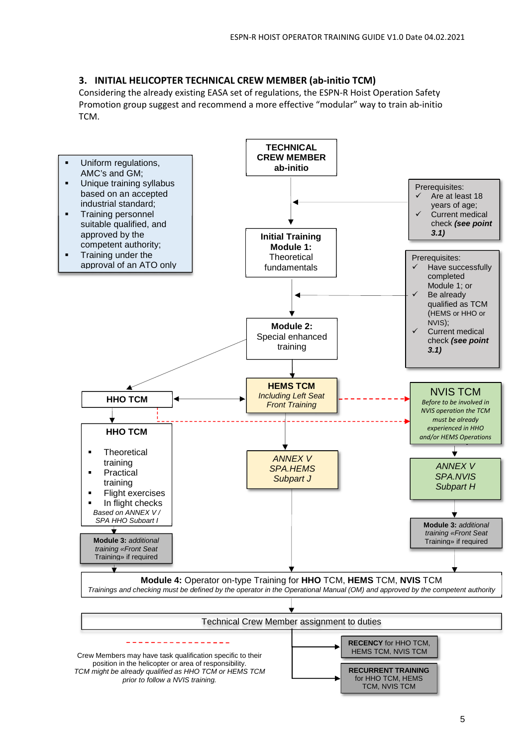### **3. INITIAL HELICOPTER TECHNICAL CREW MEMBER (ab-initio TCM)**

Considering the already existing EASA set of regulations, the ESPN-R Hoist Operation Safety Promotion group suggest and recommend a more effective "modular" way to train ab-initio TCM.

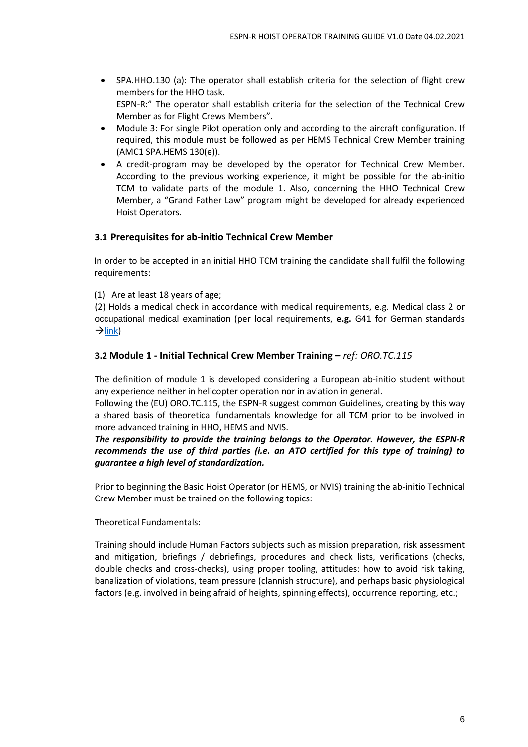- SPA.HHO.130 (a): The operator shall establish criteria for the selection of flight crew members for the HHO task. ESPN-R:" The operator shall establish criteria for the selection of the Technical Crew Member as for Flight Crews Members".
- Module 3: For single Pilot operation only and according to the aircraft configuration. If required, this module must be followed as per HEMS Technical Crew Member training (AMC1 SPA.HEMS 130(e)).
- A credit-program may be developed by the operator for Technical Crew Member. According to the previous working experience, it might be possible for the ab-initio TCM to validate parts of the module 1. Also, concerning the HHO Technical Crew Member, a "Grand Father Law" program might be developed for already experienced Hoist Operators.

### **3.1 Prerequisites for ab-initio Technical Crew Member**

In order to be accepted in an initial HHO TCM training the candidate shall fulfil the following requirements:

(1) Are at least 18 years of age;

(2) Holds a medical check in accordance with medical requirements, e.g. Medical class 2 or occupational medical examination (per local requirements, **e.g.** G41 for German standards  $\rightarrow$ link)

### **3.2 Module 1 - Initial Technical Crew Member Training –** *ref: ORO.TC.115*

The definition of module 1 is developed considering a European ab-initio student without any experience neither in helicopter operation nor in aviation in general.

Following the (EU) ORO.TC.115, the ESPN-R suggest common Guidelines, creating by this way a shared basis of theoretical fundamentals knowledge for all TCM prior to be involved in more advanced training in HHO, HEMS and NVIS.

*The responsibility to provide the training belongs to the Operator. However, the ESPN-R recommends the use of third parties (i.e. an ATO certified for this type of training) to guarantee a high level of standardization.* 

Prior to beginning the Basic Hoist Operator (or HEMS, or NVIS) training the ab-initio Technical Crew Member must be trained on the following topics:

#### Theoretical Fundamentals:

Training should include Human Factors subjects such as mission preparation, risk assessment and mitigation, briefings / debriefings, procedures and check lists, verifications (checks, double checks and cross-checks), using proper tooling, attitudes: how to avoid risk taking, banalization of violations, team pressure (clannish structure), and perhaps basic physiological factors (e.g. involved in being afraid of heights, spinning effects), occurrence reporting, etc.;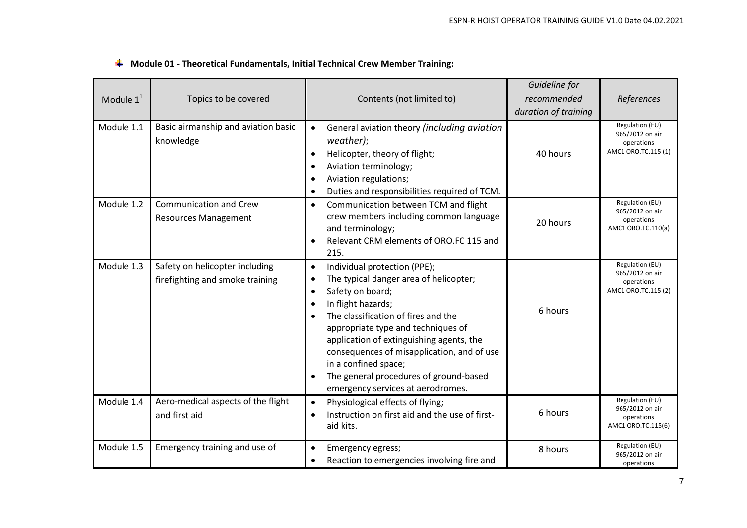|              |                                                                   |                                                                                                                                                                                                                                                                                                                                                                                                                                                    | Guideline for        |                                                                         |
|--------------|-------------------------------------------------------------------|----------------------------------------------------------------------------------------------------------------------------------------------------------------------------------------------------------------------------------------------------------------------------------------------------------------------------------------------------------------------------------------------------------------------------------------------------|----------------------|-------------------------------------------------------------------------|
| Module $1^1$ | Topics to be covered                                              | Contents (not limited to)                                                                                                                                                                                                                                                                                                                                                                                                                          | recommended          | References                                                              |
|              |                                                                   |                                                                                                                                                                                                                                                                                                                                                                                                                                                    | duration of training |                                                                         |
| Module 1.1   | Basic airmanship and aviation basic<br>knowledge                  | General aviation theory (including aviation<br>$\bullet$<br>weather);<br>Helicopter, theory of flight;<br>Aviation terminology;<br>Aviation regulations;<br>Duties and responsibilities required of TCM.                                                                                                                                                                                                                                           | 40 hours             | Regulation (EU)<br>965/2012 on air<br>operations<br>AMC1 ORO.TC.115 (1) |
| Module 1.2   | <b>Communication and Crew</b><br><b>Resources Management</b>      | Communication between TCM and flight<br>$\bullet$<br>crew members including common language<br>and terminology;<br>Relevant CRM elements of ORO.FC 115 and<br>215.                                                                                                                                                                                                                                                                                 | 20 hours             | Regulation (EU)<br>965/2012 on air<br>operations<br>AMC1 ORO.TC.110(a)  |
| Module 1.3   | Safety on helicopter including<br>firefighting and smoke training | Individual protection (PPE);<br>$\bullet$<br>The typical danger area of helicopter;<br>$\bullet$<br>Safety on board;<br>$\bullet$<br>In flight hazards;<br>The classification of fires and the<br>$\bullet$<br>appropriate type and techniques of<br>application of extinguishing agents, the<br>consequences of misapplication, and of use<br>in a confined space;<br>The general procedures of ground-based<br>emergency services at aerodromes. | 6 hours              | Regulation (EU)<br>965/2012 on air<br>operations<br>AMC1 ORO.TC.115 (2) |
| Module 1.4   | Aero-medical aspects of the flight<br>and first aid               | Physiological effects of flying;<br>$\bullet$<br>Instruction on first aid and the use of first-<br>$\bullet$<br>aid kits.                                                                                                                                                                                                                                                                                                                          | 6 hours              | Regulation (EU)<br>965/2012 on air<br>operations<br>AMC1 ORO.TC.115(6)  |
| Module 1.5   | Emergency training and use of                                     | Emergency egress;<br>$\bullet$<br>Reaction to emergencies involving fire and                                                                                                                                                                                                                                                                                                                                                                       | 8 hours              | Regulation (EU)<br>965/2012 on air<br>operations                        |

### **Module 01 - Theoretical Fundamentals, Initial Technical Crew Member Training:**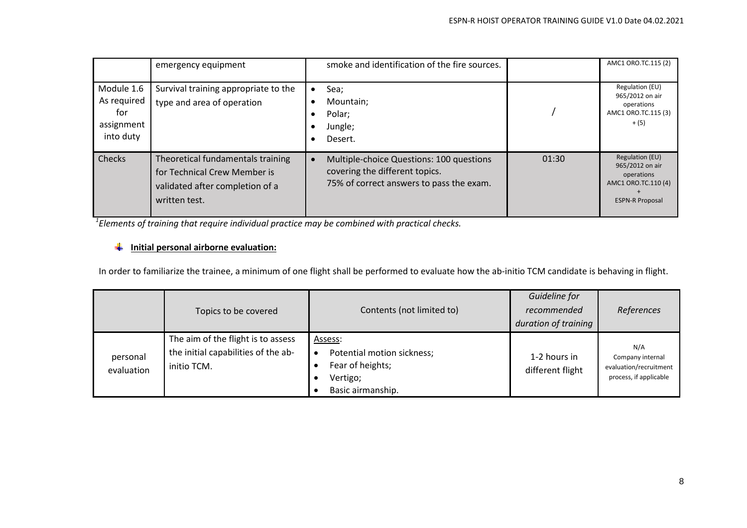|                                                             | emergency equipment                                                                                                   | smoke and identification of the fire sources.                                                                          |       | AMC1 ORO.TC.115 (2)                                                                               |
|-------------------------------------------------------------|-----------------------------------------------------------------------------------------------------------------------|------------------------------------------------------------------------------------------------------------------------|-------|---------------------------------------------------------------------------------------------------|
| Module 1.6<br>As required<br>for<br>assignment<br>into duty | Survival training appropriate to the<br>type and area of operation                                                    | Sea;<br>Mountain:<br>Polar;<br>Jungle;<br>Desert.                                                                      |       | Regulation (EU)<br>965/2012 on air<br>operations<br>AMC1 ORO.TC.115 (3)<br>$+ (5)$                |
| Checks                                                      | Theoretical fundamentals training<br>for Technical Crew Member is<br>validated after completion of a<br>written test. | Multiple-choice Questions: 100 questions<br>covering the different topics.<br>75% of correct answers to pass the exam. | 01:30 | Regulation (EU)<br>965/2012 on air<br>operations<br>AMC1 ORO.TC.110 (4)<br><b>ESPN-R Proposal</b> |

*<sup>1</sup>Elements of training that require individual practice may be combined with practical checks.* 

### **Initial personal airborne evaluation:**

In order to familiarize the trainee, a minimum of one flight shall be performed to evaluate how the ab-initio TCM candidate is behaving in flight.

|                        | Topics to be covered                                                                     | Contents (not limited to)                                                                               | Guideline for<br>recommended<br>duration of training | References                                                                  |
|------------------------|------------------------------------------------------------------------------------------|---------------------------------------------------------------------------------------------------------|------------------------------------------------------|-----------------------------------------------------------------------------|
| personal<br>evaluation | The aim of the flight is to assess<br>the initial capabilities of the ab-<br>initio TCM. | Assess:<br>Potential motion sickness;<br>$\bullet$<br>Fear of heights;<br>Vertigo;<br>Basic airmanship. | 1-2 hours in<br>different flight                     | N/A<br>Company internal<br>evaluation/recruitment<br>process, if applicable |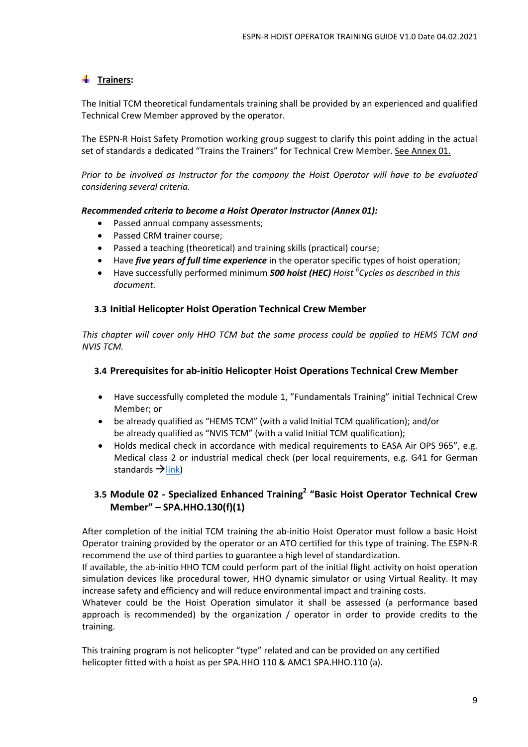### **Trainers:**

The Initial TCM theoretical fundamentals training shall be provided by an experienced and qualified Technical Crew Member approved by the operator.

The ESPN-R Hoist Safety Promotion working group suggest to clarify this point adding in the actual set of standards a dedicated "Trains the Trainers" for Technical Crew Member. See Annex 01.

*Prior to be involved as Instructor for the company the Hoist Operator will have to be evaluated considering several criteria.* 

#### *Recommended criteria to become a Hoist Operator Instructor (Annex 01):*

- Passed annual company assessments;
- Passed CRM trainer course;
- Passed a teaching (theoretical) and training skills (practical) course;
- Have *five years of full time experience* in the operator specific types of hoist operation;
- Have successfully performed minimum *500 hoist (HEC) Hoist <sup>6</sup> Cycles as described in this document.*

### **3.3 Initial Helicopter Hoist Operation Technical Crew Member**

*This chapter will cover only HHO TCM but the same process could be applied to HEMS TCM and NVIS TCM.* 

### **3.4 Prerequisites for ab-initio Helicopter Hoist Operations Technical Crew Member**

- Have successfully completed the module 1, "Fundamentals Training" initial Technical Crew Member; or
- be already qualified as "HEMS TCM" (with a valid Initial TCM qualification); and/or be already qualified as "NVIS TCM" (with a valid Initial TCM qualification);
- Holds medical check in accordance with medical requirements to EASA Air OPS 965", e.g. Medical class 2 or industrial medical check (per local requirements, e.g. G41 for German standards  $\rightarrow$  link)

### **3.5 Module 02** *-* **Specialized Enhanced Training<sup>2</sup> "Basic Hoist Operator Technical Crew Member" – SPA.HHO.130(f)(1)**

After completion of the initial TCM training the ab-initio Hoist Operator must follow a basic Hoist Operator training provided by the operator or an ATO certified for this type of training. The ESPN-R recommend the use of third parties to guarantee a high level of standardization.

If available, the ab-initio HHO TCM could perform part of the initial flight activity on hoist operation simulation devices like procedural tower, HHO dynamic simulator or using Virtual Reality. It may increase safety and efficiency and will reduce environmental impact and training costs.

Whatever could be the Hoist Operation simulator it shall be assessed (a performance based approach is recommended) by the organization / operator in order to provide credits to the training.

This training program is not helicopter "type" related and can be provided on any certified helicopter fitted with a hoist as per SPA.HHO 110 & AMC1 SPA.HHO.110 (a).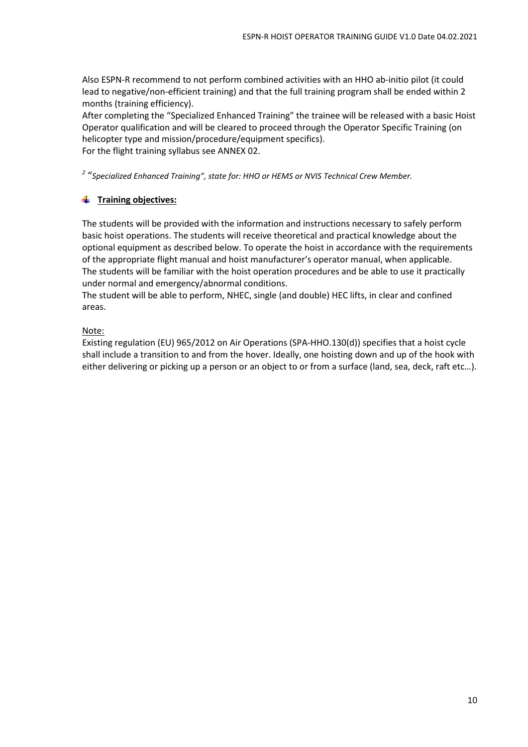Also ESPN-R recommend to not perform combined activities with an HHO ab-initio pilot (it could lead to negative/non-efficient training) and that the full training program shall be ended within 2 months (training efficiency).

After completing the "Specialized Enhanced Training" the trainee will be released with a basic Hoist Operator qualification and will be cleared to proceed through the Operator Specific Training (on helicopter type and mission/procedure/equipment specifics). For the flight training syllabus see ANNEX 02.

*2* "*Specialized Enhanced Training", state for: HHO or HEMS or NVIS Technical Crew Member.*

### **Training objectives:**

The students will be provided with the information and instructions necessary to safely perform basic hoist operations. The students will receive theoretical and practical knowledge about the optional equipment as described below. To operate the hoist in accordance with the requirements of the appropriate flight manual and hoist manufacturer's operator manual, when applicable. The students will be familiar with the hoist operation procedures and be able to use it practically under normal and emergency/abnormal conditions.

The student will be able to perform, NHEC, single (and double) HEC lifts, in clear and confined areas.

### Note:

Existing regulation (EU) 965/2012 on Air Operations (SPA-HHO.130(d)) specifies that a hoist cycle shall include a transition to and from the hover. Ideally, one hoisting down and up of the hook with either delivering or picking up a person or an object to or from a surface (land, sea, deck, raft etc…).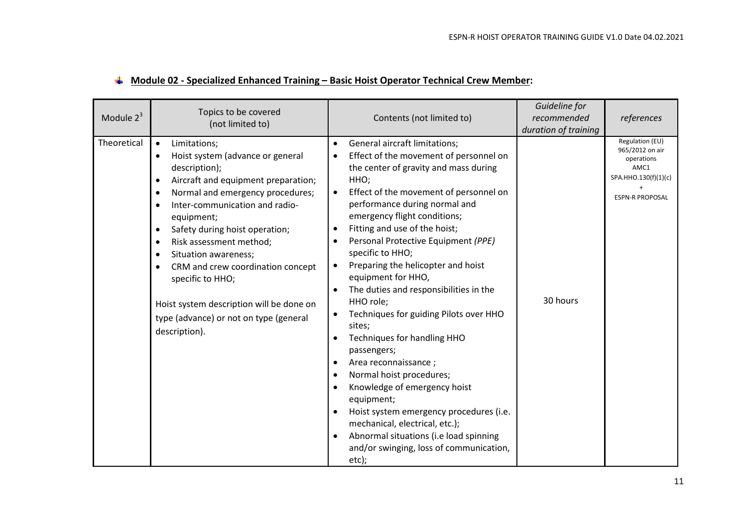| Module $2^3$ | Topics to be covered<br>(not limited to)                                                                                                                                                                                                                                                                                                                                                                                                                                                                                                                               | Contents (not limited to)                                                                                                                                                                                                                                                                                                                                                                                                                                                                                                                                                                                                                                                                                                                                                                                                                   | Guideline for<br>recommended<br>duration of training | references                                                                                                 |
|--------------|------------------------------------------------------------------------------------------------------------------------------------------------------------------------------------------------------------------------------------------------------------------------------------------------------------------------------------------------------------------------------------------------------------------------------------------------------------------------------------------------------------------------------------------------------------------------|---------------------------------------------------------------------------------------------------------------------------------------------------------------------------------------------------------------------------------------------------------------------------------------------------------------------------------------------------------------------------------------------------------------------------------------------------------------------------------------------------------------------------------------------------------------------------------------------------------------------------------------------------------------------------------------------------------------------------------------------------------------------------------------------------------------------------------------------|------------------------------------------------------|------------------------------------------------------------------------------------------------------------|
| Theoretical  | Limitations;<br>$\bullet$<br>Hoist system (advance or general<br>$\bullet$<br>description);<br>Aircraft and equipment preparation;<br>$\bullet$<br>Normal and emergency procedures;<br>$\bullet$<br>Inter-communication and radio-<br>$\bullet$<br>equipment;<br>Safety during hoist operation;<br>$\bullet$<br>Risk assessment method;<br>$\bullet$<br>Situation awareness;<br>$\bullet$<br>CRM and crew coordination concept<br>$\bullet$<br>specific to HHO;<br>Hoist system description will be done on<br>type (advance) or not on type (general<br>description). | General aircraft limitations;<br>Effect of the movement of personnel on<br>the center of gravity and mass during<br>HHO;<br>Effect of the movement of personnel on<br>performance during normal and<br>emergency flight conditions;<br>Fitting and use of the hoist;<br>Personal Protective Equipment (PPE)<br>specific to HHO;<br>Preparing the helicopter and hoist<br>٠<br>equipment for HHO,<br>The duties and responsibilities in the<br>HHO role;<br>Techniques for guiding Pilots over HHO<br>٠<br>sites;<br>Techniques for handling HHO<br>passengers;<br>Area reconnaissance;<br>Normal hoist procedures;<br>Knowledge of emergency hoist<br>equipment;<br>Hoist system emergency procedures (i.e.<br>mechanical, electrical, etc.);<br>Abnormal situations (i.e load spinning<br>and/or swinging, loss of communication,<br>etc); | 30 hours                                             | Regulation (EU)<br>965/2012 on air<br>operations<br>AMC1<br>SPA.HHO.130(f)(1)(c)<br><b>ESPN-R PROPOSAL</b> |

### **Module 02 - Specialized Enhanced Training – Basic Hoist Operator Technical Crew Member:**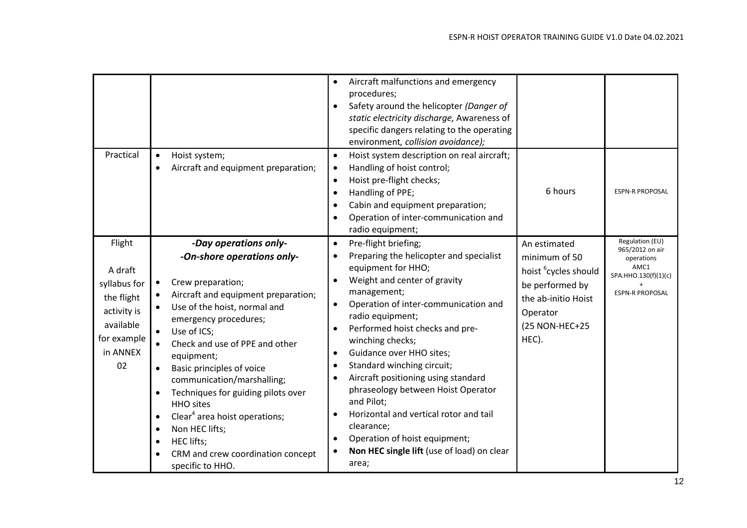| Practical                                                                                                    | Hoist system;<br>$\bullet$<br>Aircraft and equipment preparation;<br>$\bullet$                                                                                                                                                                                                                                                                                                                                                                                                                                                                                                                                                       | Aircraft malfunctions and emergency<br>procedures;<br>Safety around the helicopter (Danger of<br>static electricity discharge, Awareness of<br>specific dangers relating to the operating<br>environment, collision avoidance);<br>Hoist system description on real aircraft;<br>Handling of hoist control;<br>Hoist pre-flight checks;<br>6 hours<br>Handling of PPE;<br>Cabin and equipment preparation;<br>Operation of inter-communication and<br>radio equipment;                                                                                                                                                                                                                                                                       | <b>ESPN-R PROPOSAL</b>                                                                                            |
|--------------------------------------------------------------------------------------------------------------|--------------------------------------------------------------------------------------------------------------------------------------------------------------------------------------------------------------------------------------------------------------------------------------------------------------------------------------------------------------------------------------------------------------------------------------------------------------------------------------------------------------------------------------------------------------------------------------------------------------------------------------|----------------------------------------------------------------------------------------------------------------------------------------------------------------------------------------------------------------------------------------------------------------------------------------------------------------------------------------------------------------------------------------------------------------------------------------------------------------------------------------------------------------------------------------------------------------------------------------------------------------------------------------------------------------------------------------------------------------------------------------------|-------------------------------------------------------------------------------------------------------------------|
| Flight<br>A draft<br>syllabus for<br>the flight<br>activity is<br>available<br>for example<br>in ANNEX<br>02 | -Day operations only-<br>-On-shore operations only-<br>Crew preparation;<br>$\bullet$<br>Aircraft and equipment preparation;<br>$\bullet$<br>Use of the hoist, normal and<br>$\bullet$<br>emergency procedures;<br>Use of ICS;<br>$\bullet$<br>Check and use of PPE and other<br>$\bullet$<br>equipment;<br>Basic principles of voice<br>$\bullet$<br>communication/marshalling;<br>Techniques for guiding pilots over<br>$\bullet$<br><b>HHO</b> sites<br>Clear <sup>4</sup> area hoist operations;<br>$\bullet$<br>Non HEC lifts;<br>$\bullet$<br>HEC lifts;<br>$\bullet$<br>CRM and crew coordination concept<br>specific to HHO. | Pre-flight briefing;<br>$\bullet$<br>An estimated<br>Preparing the helicopter and specialist<br>minimum of 50<br>equipment for HHO;<br>hoist <sup>6</sup> cycles should<br>Weight and center of gravity<br>be performed by<br>management;<br>the ab-initio Hoist<br>Operation of inter-communication and<br>Operator<br>radio equipment;<br>(25 NON-HEC+25<br>Performed hoist checks and pre-<br>HEC).<br>winching checks;<br>Guidance over HHO sites;<br>$\bullet$<br>Standard winching circuit;<br>Aircraft positioning using standard<br>phraseology between Hoist Operator<br>and Pilot;<br>Horizontal and vertical rotor and tail<br>clearance;<br>Operation of hoist equipment;<br>Non HEC single lift (use of load) on clear<br>area; | Regulation (EU)<br>965/2012 on air<br>operations<br>AMC1<br>SPA.HHO.130(f)(1)(c)<br>$+$<br><b>ESPN-R PROPOSAL</b> |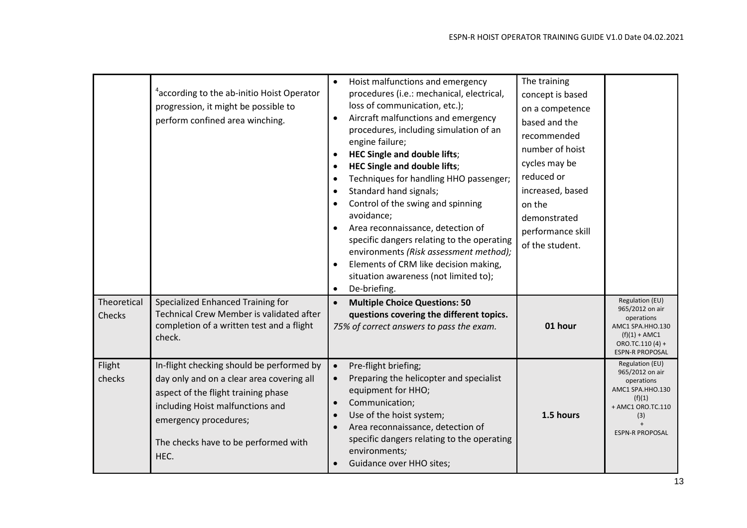|                       | <sup>4</sup> according to the ab-initio Hoist Operator<br>progression, it might be possible to<br>perform confined area winching.                                                                                                          | $\bullet$<br>$\bullet$<br>$\bullet$ | Hoist malfunctions and emergency<br>procedures (i.e.: mechanical, electrical,<br>loss of communication, etc.);<br>Aircraft malfunctions and emergency<br>procedures, including simulation of an<br>engine failure;<br><b>HEC Single and double lifts;</b><br><b>HEC Single and double lifts;</b><br>Techniques for handling HHO passenger;<br>Standard hand signals;<br>Control of the swing and spinning<br>avoidance;<br>Area reconnaissance, detection of<br>specific dangers relating to the operating<br>environments (Risk assessment method);<br>Elements of CRM like decision making,<br>situation awareness (not limited to);<br>De-briefing. | The training<br>concept is based<br>on a competence<br>based and the<br>recommended<br>number of hoist<br>cycles may be<br>reduced or<br>increased, based<br>on the<br>demonstrated<br>performance skill<br>of the student. |                                                                                                                                       |
|-----------------------|--------------------------------------------------------------------------------------------------------------------------------------------------------------------------------------------------------------------------------------------|-------------------------------------|--------------------------------------------------------------------------------------------------------------------------------------------------------------------------------------------------------------------------------------------------------------------------------------------------------------------------------------------------------------------------------------------------------------------------------------------------------------------------------------------------------------------------------------------------------------------------------------------------------------------------------------------------------|-----------------------------------------------------------------------------------------------------------------------------------------------------------------------------------------------------------------------------|---------------------------------------------------------------------------------------------------------------------------------------|
| Theoretical<br>Checks | Specialized Enhanced Training for<br>Technical Crew Member is validated after<br>completion of a written test and a flight<br>check.                                                                                                       |                                     | <b>Multiple Choice Questions: 50</b><br>questions covering the different topics.<br>75% of correct answers to pass the exam.                                                                                                                                                                                                                                                                                                                                                                                                                                                                                                                           | 01 hour                                                                                                                                                                                                                     | Regulation (EU)<br>965/2012 on air<br>operations<br>AMC1 SPA.HHO.130<br>$(f)(1) + AMC1$<br>ORO.TC.110 (4) +<br><b>ESPN-R PROPOSAL</b> |
| Flight<br>checks      | In-flight checking should be performed by<br>day only and on a clear area covering all<br>aspect of the flight training phase<br>including Hoist malfunctions and<br>emergency procedures;<br>The checks have to be performed with<br>HEC. | $\bullet$<br>$\bullet$              | Pre-flight briefing;<br>Preparing the helicopter and specialist<br>equipment for HHO;<br>Communication;<br>Use of the hoist system;<br>Area reconnaissance, detection of<br>specific dangers relating to the operating<br>environments;<br>Guidance over HHO sites;                                                                                                                                                                                                                                                                                                                                                                                    | 1.5 hours                                                                                                                                                                                                                   | Regulation (EU)<br>965/2012 on air<br>operations<br>AMC1 SPA.HHO.130<br>(f)(1)<br>+ AMC1 ORO.TC.110<br>(3)<br><b>ESPN-R PROPOSAL</b>  |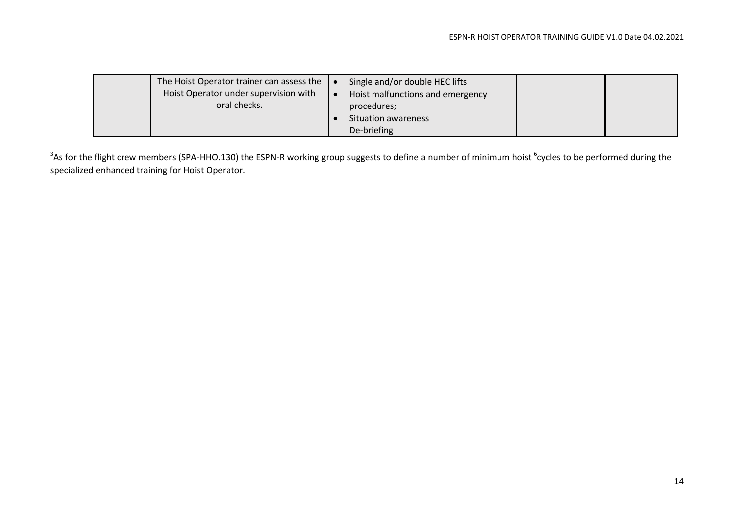| The Hoist Operator trainer can assess the $\vert \bullet \vert$<br>Hoist Operator under supervision with<br>oral checks. |  | Single and/or double HEC lifts<br>Hoist malfunctions and emergency<br>procedures;<br>Situation awareness<br>De-briefing |  |  |
|--------------------------------------------------------------------------------------------------------------------------|--|-------------------------------------------------------------------------------------------------------------------------|--|--|
|--------------------------------------------------------------------------------------------------------------------------|--|-------------------------------------------------------------------------------------------------------------------------|--|--|

 $^3$ As for the flight crew members (SPA-HHO.130) the ESPN-R working group suggests to define a number of minimum hoist  $^6$ cycles to be performed during the specialized enhanced training for Hoist Operator.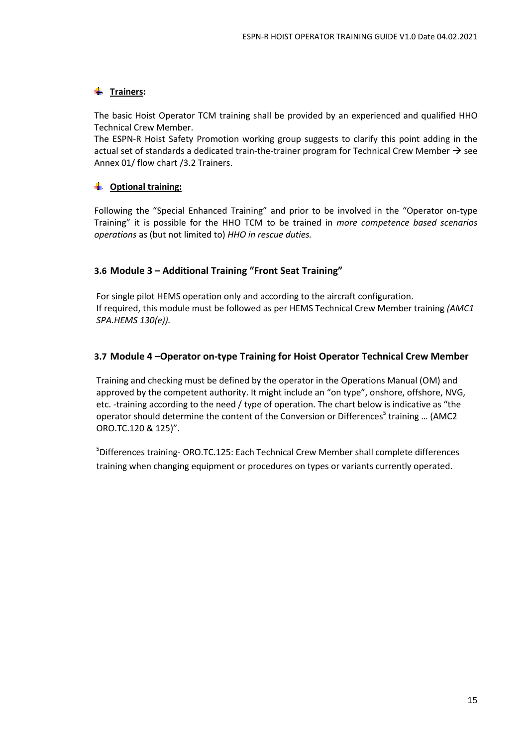### **Trainers:**

The basic Hoist Operator TCM training shall be provided by an experienced and qualified HHO Technical Crew Member.

The ESPN-R Hoist Safety Promotion working group suggests to clarify this point adding in the actual set of standards a dedicated train-the-trainer program for Technical Crew Member  $\rightarrow$  see Annex 01/ flow chart /3.2 Trainers.

#### **Optional training:**  -∎

Following the "Special Enhanced Training" and prior to be involved in the "Operator on-type Training" it is possible for the HHO TCM to be trained in *more competence based scenarios operations* as (but not limited to) *HHO in rescue duties.*

### **3.6 Module 3 – Additional Training "Front Seat Training"**

For single pilot HEMS operation only and according to the aircraft configuration. If required, this module must be followed as per HEMS Technical Crew Member training *(AMC1 SPA.HEMS 130(e)).*

### **3.7 Module 4 –Operator on-type Training for Hoist Operator Technical Crew Member**

Training and checking must be defined by the operator in the Operations Manual (OM) and approved by the competent authority. It might include an "on type", onshore, offshore, NVG, etc. -training according to the need / type of operation. The chart below is indicative as "the operator should determine the content of the Conversion or Differences<sup>5</sup> training ... (AMC2 ORO.TC.120 & 125)".

<sup>5</sup>Differences training- ORO.TC.125: Each Technical Crew Member shall complete differences training when changing equipment or procedures on types or variants currently operated.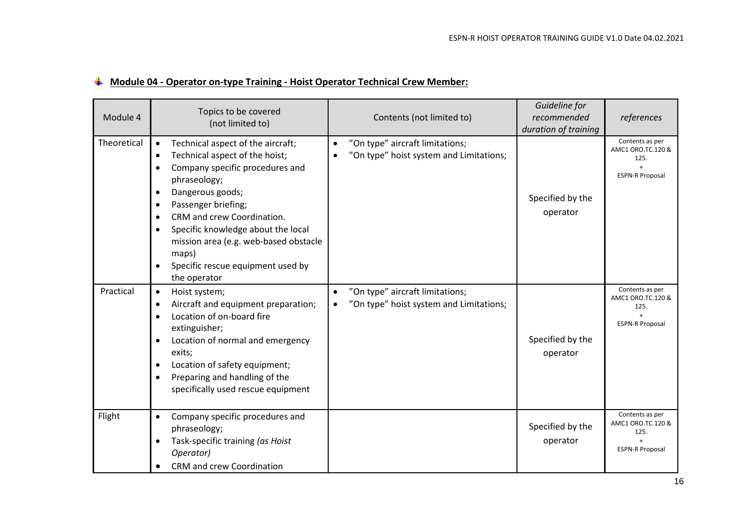| $\frac{1}{2}$ Module 04 - Operator on-type Training - Hoist Operator Technical Crew Member: |  |
|---------------------------------------------------------------------------------------------|--|
|---------------------------------------------------------------------------------------------|--|

| Module 4    | Topics to be covered<br>(not limited to)                                                                                                                                                                                                                                                                                                                                                                                                             | Contents (not limited to)                                                               | Guideline for<br>recommended<br>duration of training | references                                                                    |
|-------------|------------------------------------------------------------------------------------------------------------------------------------------------------------------------------------------------------------------------------------------------------------------------------------------------------------------------------------------------------------------------------------------------------------------------------------------------------|-----------------------------------------------------------------------------------------|------------------------------------------------------|-------------------------------------------------------------------------------|
| Theoretical | Technical aspect of the aircraft;<br>$\bullet$<br>Technical aspect of the hoist;<br>$\bullet$<br>Company specific procedures and<br>$\bullet$<br>phraseology;<br>Dangerous goods;<br>$\bullet$<br>Passenger briefing;<br>$\bullet$<br>CRM and crew Coordination.<br>$\bullet$<br>Specific knowledge about the local<br>$\bullet$<br>mission area (e.g. web-based obstacle<br>maps)<br>Specific rescue equipment used by<br>$\bullet$<br>the operator | "On type" aircraft limitations;<br>$\bullet$<br>"On type" hoist system and Limitations; | Specified by the<br>operator                         | Contents as per<br>AMC1 ORO.TC.120 &<br>125.<br><b>ESPN-R Proposal</b>        |
| Practical   | Hoist system;<br>$\bullet$<br>Aircraft and equipment preparation;<br>$\bullet$<br>Location of on-board fire<br>$\bullet$<br>extinguisher;<br>Location of normal and emergency<br>$\bullet$<br>exits;<br>Location of safety equipment;<br>$\bullet$<br>Preparing and handling of the<br>$\bullet$<br>specifically used rescue equipment                                                                                                               | "On type" aircraft limitations;<br>"On type" hoist system and Limitations;              | Specified by the<br>operator                         | Contents as per<br>AMC1 ORO.TC.120 &<br>125.<br><b>ESPN-R Proposal</b>        |
| Flight      | Company specific procedures and<br>$\bullet$<br>phraseology;<br>Task-specific training (as Hoist<br>$\bullet$<br>Operator)<br><b>CRM</b> and crew Coordination                                                                                                                                                                                                                                                                                       |                                                                                         | Specified by the<br>operator                         | Contents as per<br>AMC1 ORO.TC.120 &<br>125.<br>$+$<br><b>ESPN-R Proposal</b> |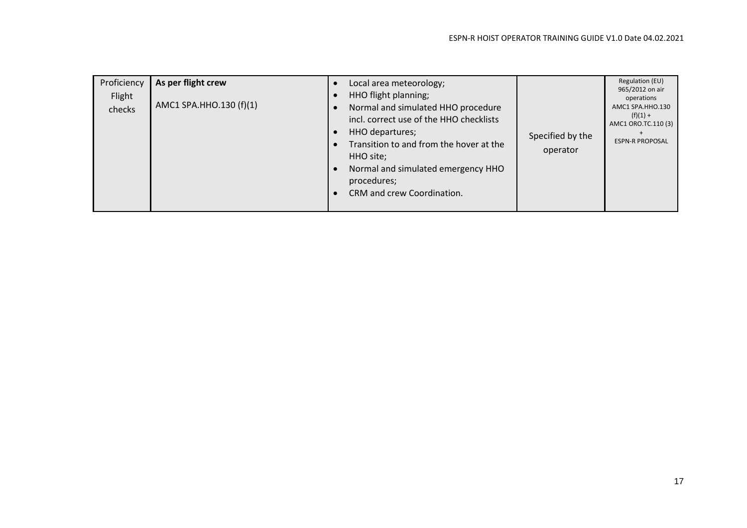| Proficiency<br>Flight<br>checks | As per flight crew<br>AMC1 SPA.HHO.130 (f)(1) | Local area meteorology;<br>HHO flight planning;<br>Normal and simulated HHO procedure<br>incl. correct use of the HHO checklists<br>HHO departures;<br>Transition to and from the hover at the<br>HHO site;<br>Normal and simulated emergency HHO<br>procedures;<br>CRM and crew Coordination. | Specified by the<br>operator | Regulation (EU)<br>965/2012 on air<br>operations<br>AMC1 SPA.HHO.130<br>$(f)(1) +$<br>AMC1 ORO.TC.110 (3)<br><b>ESPN-R PROPOSAL</b> |
|---------------------------------|-----------------------------------------------|------------------------------------------------------------------------------------------------------------------------------------------------------------------------------------------------------------------------------------------------------------------------------------------------|------------------------------|-------------------------------------------------------------------------------------------------------------------------------------|
|---------------------------------|-----------------------------------------------|------------------------------------------------------------------------------------------------------------------------------------------------------------------------------------------------------------------------------------------------------------------------------------------------|------------------------------|-------------------------------------------------------------------------------------------------------------------------------------|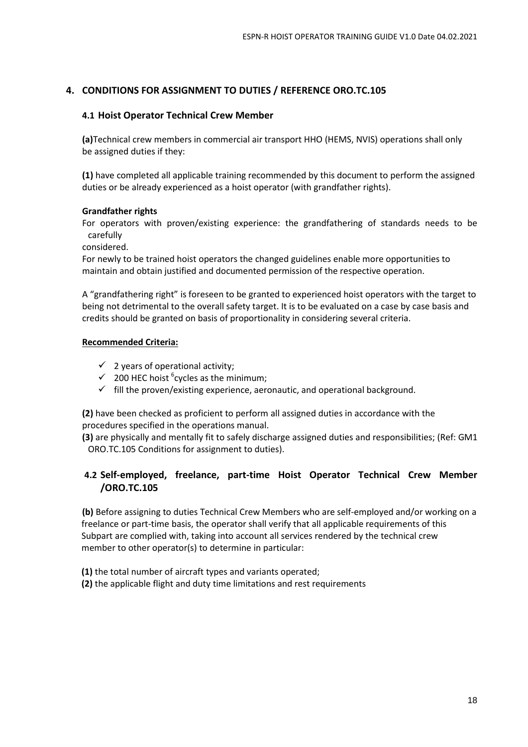### **4. CONDITIONS FOR ASSIGNMENT TO DUTIES / REFERENCE ORO.TC.105**

### **4.1 Hoist Operator Technical Crew Member**

**(a)**Technical crew members in commercial air transport HHO (HEMS, NVIS) operations shall only be assigned duties if they:

**(1)** have completed all applicable training recommended by this document to perform the assigned duties or be already experienced as a hoist operator (with grandfather rights).

### **Grandfather rights**

For operators with proven/existing experience: the grandfathering of standards needs to be carefully

considered.

For newly to be trained hoist operators the changed guidelines enable more opportunities to maintain and obtain justified and documented permission of the respective operation.

A "grandfathering right" is foreseen to be granted to experienced hoist operators with the target to being not detrimental to the overall safety target. It is to be evaluated on a case by case basis and credits should be granted on basis of proportionality in considering several criteria.

### **Recommended Criteria:**

- $\checkmark$  2 years of operational activity:
- $\checkmark$  200 HEC hoist <sup>6</sup> cycles as the minimum;
- $\checkmark$  fill the proven/existing experience, aeronautic, and operational background.

**(2)** have been checked as proficient to perform all assigned duties in accordance with the procedures specified in the operations manual.

**(3)** are physically and mentally fit to safely discharge assigned duties and responsibilities; (Ref: GM1 ORO.TC.105 Conditions for assignment to duties).

### **4.2 Self-employed, freelance, part-time Hoist Operator Technical Crew Member /ORO.TC.105**

**(b)** Before assigning to duties Technical Crew Members who are self-employed and/or working on a freelance or part-time basis, the operator shall verify that all applicable requirements of this Subpart are complied with, taking into account all services rendered by the technical crew member to other operator(s) to determine in particular:

- **(1)** the total number of aircraft types and variants operated;
- **(2)** the applicable flight and duty time limitations and rest requirements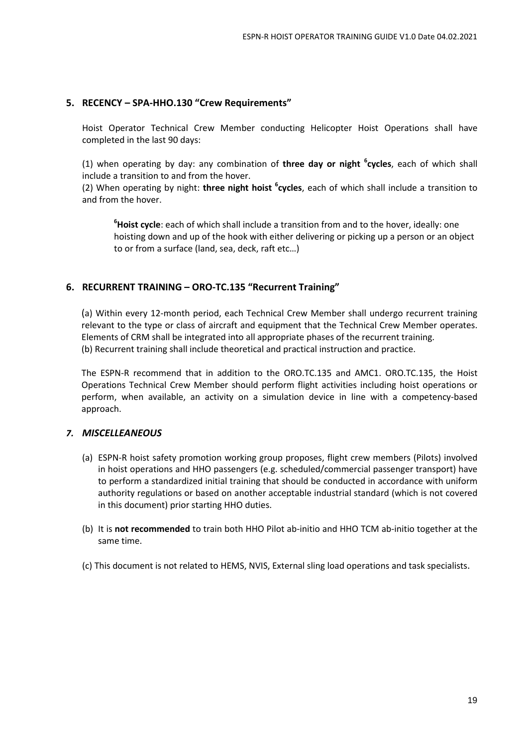### **5. RECENCY – SPA-HHO.130 "Crew Requirements"**

Hoist Operator Technical Crew Member conducting Helicopter Hoist Operations shall have completed in the last 90 days:

(1) when operating by day: any combination of **three day or night <sup>6</sup> cycles**, each of which shall include a transition to and from the hover.

(2) When operating by night: **three night hoist <sup>6</sup> cycles**, each of which shall include a transition to and from the hover.

**<sup>6</sup>Hoist cycle**: each of which shall include a transition from and to the hover, ideally: one hoisting down and up of the hook with either delivering or picking up a person or an object to or from a surface (land, sea, deck, raft etc…)

### **6. RECURRENT TRAINING – ORO-TC.135 "Recurrent Training"**

(a) Within every 12-month period, each Technical Crew Member shall undergo recurrent training relevant to the type or class of aircraft and equipment that the Technical Crew Member operates. Elements of CRM shall be integrated into all appropriate phases of the recurrent training. (b) Recurrent training shall include theoretical and practical instruction and practice.

The ESPN-R recommend that in addition to the ORO.TC.135 and AMC1. ORO.TC.135, the Hoist Operations Technical Crew Member should perform flight activities including hoist operations or perform, when available, an activity on a simulation device in line with a competency-based approach.

#### *7. MISCELLEANEOUS*

- (a) ESPN-R hoist safety promotion working group proposes, flight crew members (Pilots) involved in hoist operations and HHO passengers (e.g. scheduled/commercial passenger transport) have to perform a standardized initial training that should be conducted in accordance with uniform authority regulations or based on another acceptable industrial standard (which is not covered in this document) prior starting HHO duties.
- (b) It is **not recommended** to train both HHO Pilot ab-initio and HHO TCM ab-initio together at the same time.
- (c) This document is not related to HEMS, NVIS, External sling load operations and task specialists.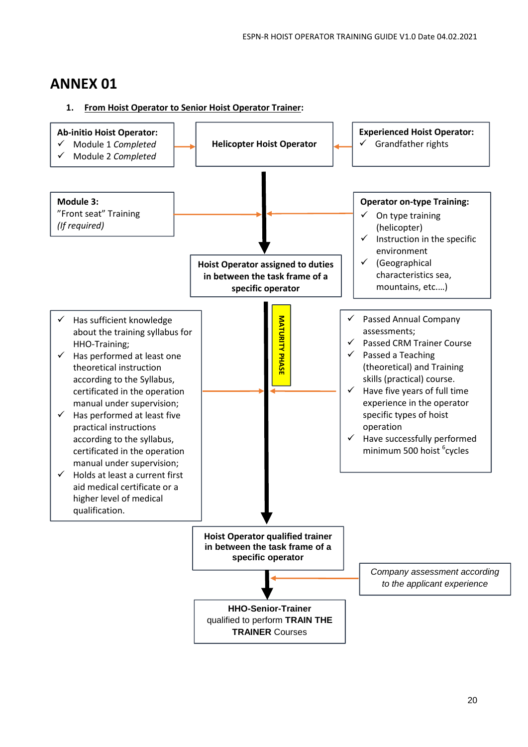## **ANNEX 01**

### **1. From Hoist Operator to Senior Hoist Operator Trainer:**

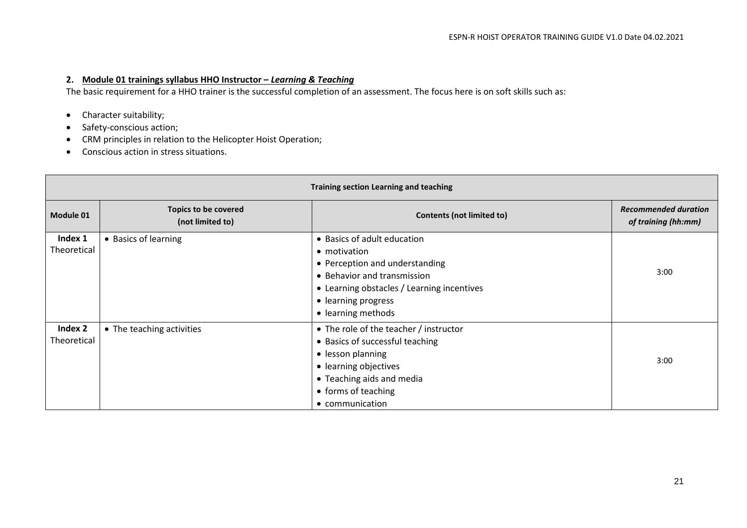#### **2. Module 01 trainings syllabus HHO Instructor –** *Learning & Teaching*

The basic requirement for a HHO trainer is the successful completion of an assessment. The focus here is on soft skills such as:

- Character suitability;
- Safety-conscious action;
- CRM principles in relation to the Helicopter Hoist Operation;
- Conscious action in stress situations.

| Training section Learning and teaching |                                          |                                                                                                                                                                                                         |                                                    |  |
|----------------------------------------|------------------------------------------|---------------------------------------------------------------------------------------------------------------------------------------------------------------------------------------------------------|----------------------------------------------------|--|
| Module 01                              | Topics to be covered<br>(not limited to) | <b>Contents (not limited to)</b>                                                                                                                                                                        | <b>Recommended duration</b><br>of training (hh:mm) |  |
| Index 1<br>Theoretical                 | • Basics of learning                     | • Basics of adult education<br>• motivation<br>• Perception and understanding<br>• Behavior and transmission<br>• Learning obstacles / Learning incentives<br>• learning progress<br>• learning methods | 3:00                                               |  |
| Index 2<br>Theoretical                 | • The teaching activities                | • The role of the teacher / instructor<br>• Basics of successful teaching<br>• lesson planning<br>• learning objectives<br>• Teaching aids and media<br>• forms of teaching<br>• communication          | 3:00                                               |  |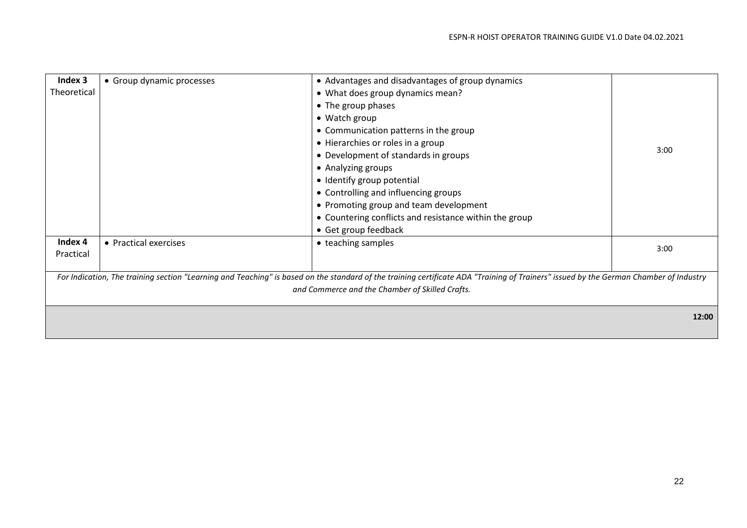| Index 3     | • Group dynamic processes | • Advantages and disadvantages of group dynamics                                                                                                                                      |       |
|-------------|---------------------------|---------------------------------------------------------------------------------------------------------------------------------------------------------------------------------------|-------|
| Theoretical |                           | • What does group dynamics mean?                                                                                                                                                      |       |
|             |                           | • The group phases                                                                                                                                                                    |       |
|             |                           | • Watch group                                                                                                                                                                         |       |
|             |                           | • Communication patterns in the group                                                                                                                                                 |       |
|             |                           | • Hierarchies or roles in a group                                                                                                                                                     |       |
|             |                           | • Development of standards in groups                                                                                                                                                  | 3:00  |
|             |                           | • Analyzing groups                                                                                                                                                                    |       |
|             |                           | • Identify group potential                                                                                                                                                            |       |
|             |                           | • Controlling and influencing groups                                                                                                                                                  |       |
|             |                           | • Promoting group and team development                                                                                                                                                |       |
|             |                           | • Countering conflicts and resistance within the group                                                                                                                                |       |
|             |                           | • Get group feedback                                                                                                                                                                  |       |
| Index 4     | • Practical exercises     | • teaching samples                                                                                                                                                                    | 3:00  |
| Practical   |                           |                                                                                                                                                                                       |       |
|             |                           |                                                                                                                                                                                       |       |
|             |                           | For Indication, The training section "Learning and Teaching" is based on the standard of the training certificate ADA "Training of Trainers" issued by the German Chamber of Industry |       |
|             |                           | and Commerce and the Chamber of Skilled Crafts.                                                                                                                                       |       |
|             |                           |                                                                                                                                                                                       |       |
|             |                           |                                                                                                                                                                                       | 12:00 |
|             |                           |                                                                                                                                                                                       |       |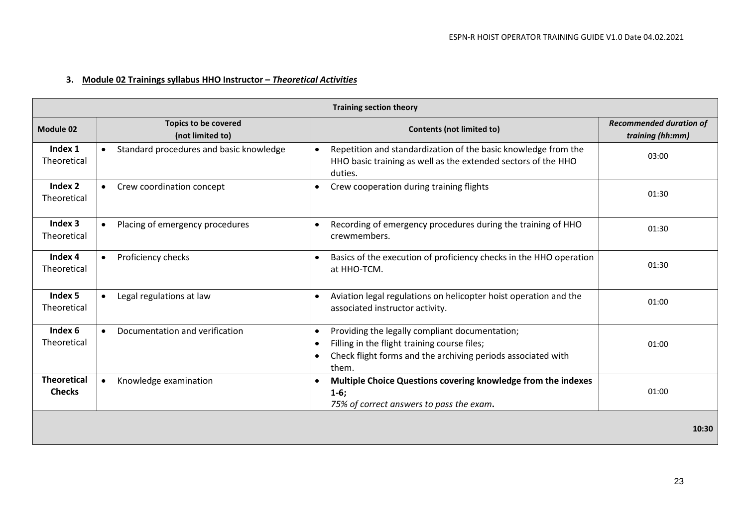### **3. Module 02 Trainings syllabus HHO Instructor –** *Theoretical Activities*

| <b>Training section theory</b>      |                                                 |                                                                                                                                                                                      |                                                    |  |  |  |  |  |  |
|-------------------------------------|-------------------------------------------------|--------------------------------------------------------------------------------------------------------------------------------------------------------------------------------------|----------------------------------------------------|--|--|--|--|--|--|
| Module 02                           | <b>Topics to be covered</b><br>(not limited to) | <b>Contents (not limited to)</b>                                                                                                                                                     | <b>Recommended duration of</b><br>training (hh:mm) |  |  |  |  |  |  |
| Index 1<br>Theoretical              | Standard procedures and basic knowledge         | Repetition and standardization of the basic knowledge from the<br>HHO basic training as well as the extended sectors of the HHO<br>duties.                                           | 03:00                                              |  |  |  |  |  |  |
| Index 2<br>Theoretical              | Crew coordination concept                       | Crew cooperation during training flights                                                                                                                                             | 01:30                                              |  |  |  |  |  |  |
| Index 3<br>Theoretical              | Placing of emergency procedures                 | Recording of emergency procedures during the training of HHO<br>$\bullet$<br>crewmembers.                                                                                            | 01:30                                              |  |  |  |  |  |  |
| Index 4<br>Theoretical              | Proficiency checks                              | Basics of the execution of proficiency checks in the HHO operation<br>$\bullet$<br>at HHO-TCM.                                                                                       | 01:30                                              |  |  |  |  |  |  |
| Index 5<br>Theoretical              | Legal regulations at law                        | Aviation legal regulations on helicopter hoist operation and the<br>associated instructor activity.                                                                                  | 01:00                                              |  |  |  |  |  |  |
| Index 6<br>Theoretical              | Documentation and verification<br>$\bullet$     | Providing the legally compliant documentation;<br>$\bullet$<br>Filling in the flight training course files;<br>Check flight forms and the archiving periods associated with<br>them. | 01:00                                              |  |  |  |  |  |  |
| <b>Theoretical</b><br><b>Checks</b> | Knowledge examination                           | Multiple Choice Questions covering knowledge from the indexes<br>$1-6;$<br>75% of correct answers to pass the exam.                                                                  | 01:00                                              |  |  |  |  |  |  |
|                                     |                                                 |                                                                                                                                                                                      | 10:30                                              |  |  |  |  |  |  |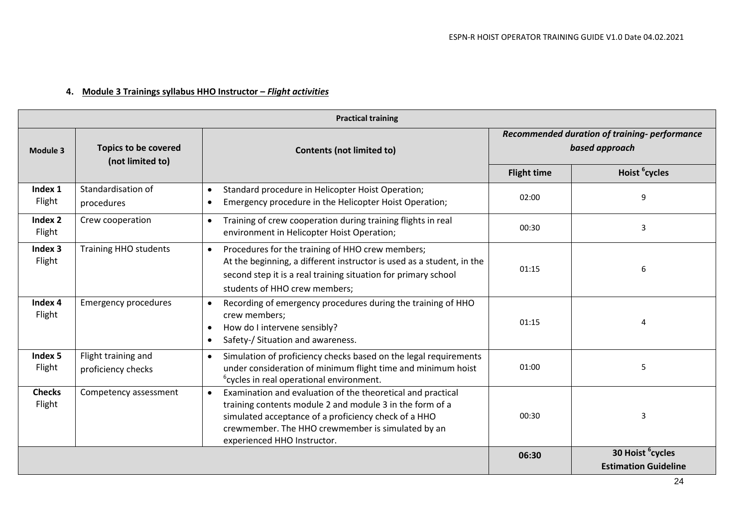### **4. Module 3 Trainings syllabus HHO Instructor –** *Flight activities*

| <b>Practical training</b> |                                                 |                                                                                                                                                                                                                                                                                  |                                                                |                                                             |  |  |  |  |  |  |
|---------------------------|-------------------------------------------------|----------------------------------------------------------------------------------------------------------------------------------------------------------------------------------------------------------------------------------------------------------------------------------|----------------------------------------------------------------|-------------------------------------------------------------|--|--|--|--|--|--|
| Module 3                  | <b>Topics to be covered</b><br>(not limited to) | <b>Contents (not limited to)</b>                                                                                                                                                                                                                                                 | Recommended duration of training-performance<br>based approach |                                                             |  |  |  |  |  |  |
|                           |                                                 |                                                                                                                                                                                                                                                                                  | <b>Flight time</b>                                             | Hoist <sup>6</sup> cycles                                   |  |  |  |  |  |  |
| Index 1<br>Flight         | Standardisation of<br>procedures                | Standard procedure in Helicopter Hoist Operation;<br>$\bullet$<br>Emergency procedure in the Helicopter Hoist Operation;<br>$\bullet$                                                                                                                                            | 02:00                                                          | 9                                                           |  |  |  |  |  |  |
| Index 2<br>Flight         | Crew cooperation                                | Training of crew cooperation during training flights in real<br>$\bullet$<br>environment in Helicopter Hoist Operation;                                                                                                                                                          | 00:30                                                          | 3                                                           |  |  |  |  |  |  |
| Index 3<br>Flight         | <b>Training HHO students</b>                    | Procedures for the training of HHO crew members;<br>$\bullet$<br>At the beginning, a different instructor is used as a student, in the<br>second step it is a real training situation for primary school<br>students of HHO crew members;                                        | 01:15                                                          | 6                                                           |  |  |  |  |  |  |
| Index 4<br>Flight         | <b>Emergency procedures</b>                     | Recording of emergency procedures during the training of HHO<br>$\bullet$<br>crew members;<br>How do I intervene sensibly?<br>$\bullet$<br>Safety-/ Situation and awareness.<br>$\bullet$                                                                                        | 01:15                                                          | Δ                                                           |  |  |  |  |  |  |
| Index 5<br>Flight         | Flight training and<br>proficiency checks       | Simulation of proficiency checks based on the legal requirements<br>$\bullet$<br>under consideration of minimum flight time and minimum hoist<br><sup>6</sup> cycles in real operational environment.                                                                            | 01:00                                                          | 5                                                           |  |  |  |  |  |  |
| <b>Checks</b><br>Flight   | Competency assessment                           | Examination and evaluation of the theoretical and practical<br>$\bullet$<br>training contents module 2 and module 3 in the form of a<br>simulated acceptance of a proficiency check of a HHO<br>crewmember. The HHO crewmember is simulated by an<br>experienced HHO Instructor. | 00:30                                                          | 3                                                           |  |  |  |  |  |  |
|                           |                                                 |                                                                                                                                                                                                                                                                                  | 06:30                                                          | 30 Hoist <sup>6</sup> cycles<br><b>Estimation Guideline</b> |  |  |  |  |  |  |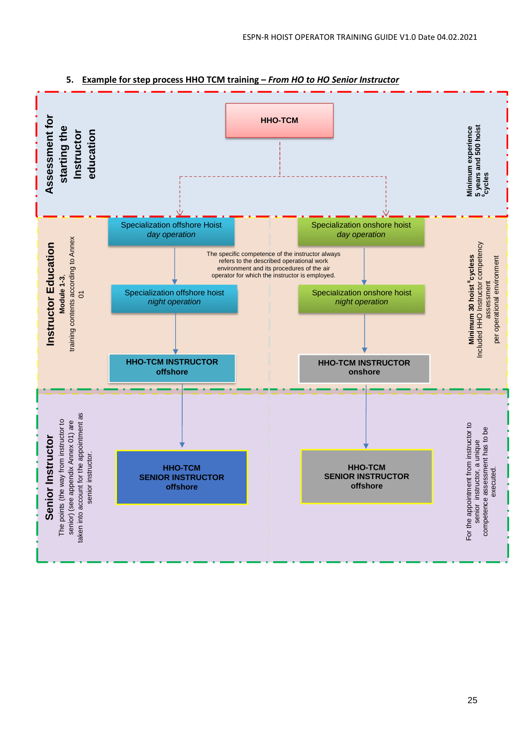

#### **5. Example for step process HHO TCM training –** *From HO to HO Senior Instructor*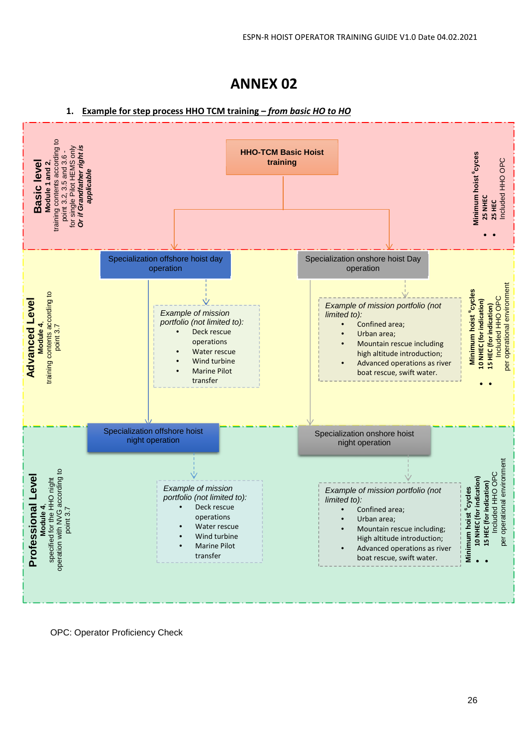# **ANNEX 02**

#### **1. Example for step process HHO TCM training –** *from basic HO to HO*



OPC: Operator Proficiency Check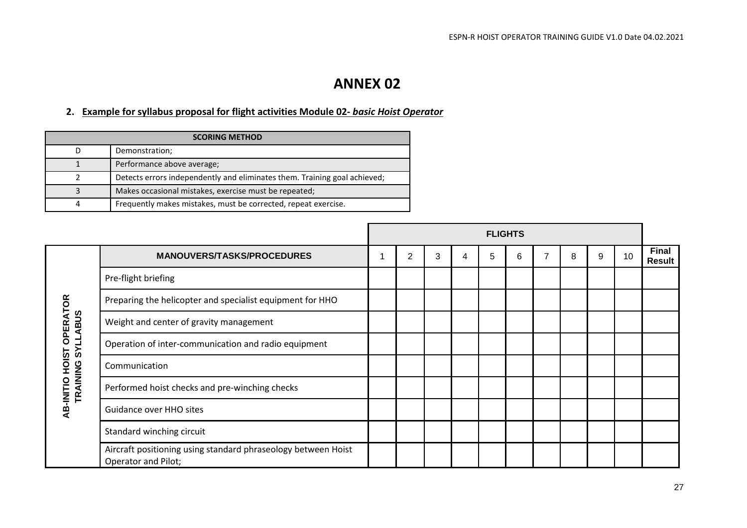# **ANNEX 02**

### **2. Example for syllabus proposal for flight activities Module 02-** *basic Hoist Operator*

| <b>SCORING METHOD</b> |                                                                           |  |  |  |  |  |  |
|-----------------------|---------------------------------------------------------------------------|--|--|--|--|--|--|
| D                     | Demonstration;                                                            |  |  |  |  |  |  |
|                       | Performance above average;                                                |  |  |  |  |  |  |
|                       | Detects errors independently and eliminates them. Training goal achieved; |  |  |  |  |  |  |
| 3                     | Makes occasional mistakes, exercise must be repeated;                     |  |  |  |  |  |  |
| 4                     | Frequently makes mistakes, must be corrected, repeat exercise.            |  |  |  |  |  |  |

|                                |                                                                                      |   |   |   | <b>FLIGHTS</b> |   |   |   |    |                        |
|--------------------------------|--------------------------------------------------------------------------------------|---|---|---|----------------|---|---|---|----|------------------------|
|                                | <b>MANOUVERS/TASKS/PROCEDURES</b>                                                    | 2 | 3 | 4 | 5              | 6 | 8 | 9 | 10 | <b>Final</b><br>Result |
|                                | Pre-flight briefing                                                                  |   |   |   |                |   |   |   |    |                        |
|                                | Preparing the helicopter and specialist equipment for HHO                            |   |   |   |                |   |   |   |    |                        |
| <b>OPERATOR</b><br><b>ABUS</b> | Weight and center of gravity management                                              |   |   |   |                |   |   |   |    |                        |
| <b>TIAS</b>                    | Operation of inter-communication and radio equipment                                 |   |   |   |                |   |   |   |    |                        |
| AB-INITIO HOIST                | Communication                                                                        |   |   |   |                |   |   |   |    |                        |
| TRAINING                       | Performed hoist checks and pre-winching checks                                       |   |   |   |                |   |   |   |    |                        |
|                                | Guidance over HHO sites                                                              |   |   |   |                |   |   |   |    |                        |
|                                | Standard winching circuit                                                            |   |   |   |                |   |   |   |    |                        |
|                                | Aircraft positioning using standard phraseology between Hoist<br>Operator and Pilot; |   |   |   |                |   |   |   |    |                        |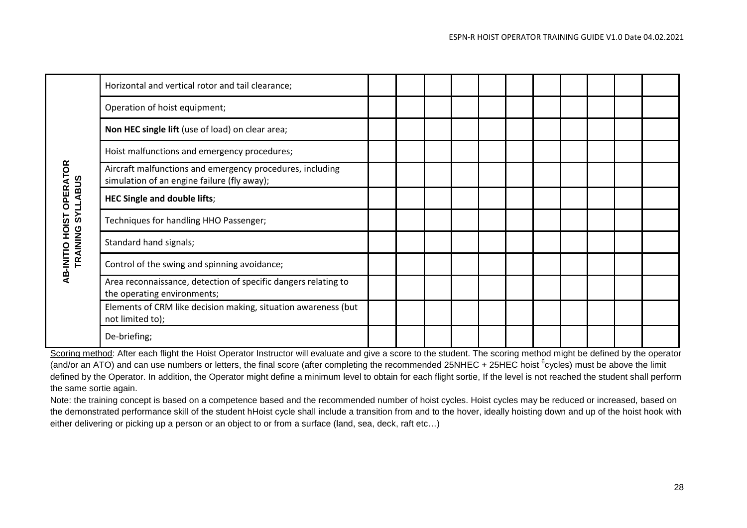|                                                                      | Horizontal and vertical rotor and tail clearance;                                                        |  |  |  |  |  |  |
|----------------------------------------------------------------------|----------------------------------------------------------------------------------------------------------|--|--|--|--|--|--|
|                                                                      | Operation of hoist equipment;                                                                            |  |  |  |  |  |  |
|                                                                      | Non HEC single lift (use of load) on clear area;                                                         |  |  |  |  |  |  |
|                                                                      | Hoist malfunctions and emergency procedures;                                                             |  |  |  |  |  |  |
| <b>OPERATOR</b>                                                      | Aircraft malfunctions and emergency procedures, including<br>simulation of an engine failure (fly away); |  |  |  |  |  |  |
| <b>SYLLABUS</b><br><u>is</u><br>호<br>포<br>AB-INITIO HOI!<br>TRAINING | <b>HEC Single and double lifts;</b>                                                                      |  |  |  |  |  |  |
|                                                                      | Techniques for handling HHO Passenger;                                                                   |  |  |  |  |  |  |
|                                                                      | Standard hand signals;                                                                                   |  |  |  |  |  |  |
|                                                                      | Control of the swing and spinning avoidance;                                                             |  |  |  |  |  |  |
|                                                                      | Area reconnaissance, detection of specific dangers relating to<br>the operating environments;            |  |  |  |  |  |  |
|                                                                      | Elements of CRM like decision making, situation awareness (but<br>not limited to);                       |  |  |  |  |  |  |
|                                                                      | De-briefing;                                                                                             |  |  |  |  |  |  |

Scoring method: After each flight the Hoist Operator Instructor will evaluate and give a score to the student. The scoring method might be defined by the operator (and/or an ATO) and can use numbers or letters, the final score (after completing the recommended 25NHEC + 25HEC hoist <sup>6</sup>cycles) must be above the limit defined by the Operator. In addition, the Operator might define a minimum level to obtain for each flight sortie, If the level is not reached the student shall perform the same sortie again.

Note: the training concept is based on a competence based and the recommended number of hoist cycles. Hoist cycles may be reduced or increased, based on the demonstrated performance skill of the student hHoist cycle shall include a transition from and to the hover, ideally hoisting down and up of the hoist hook with either delivering or picking up a person or an object to or from a surface (land, sea, deck, raft etc…)